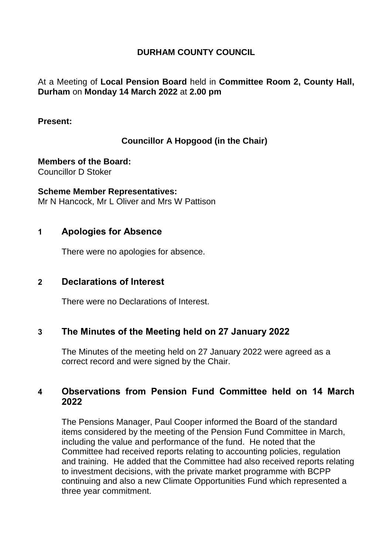### **DURHAM COUNTY COUNCIL**

### At a Meeting of **Local Pension Board** held in **Committee Room 2, County Hall, Durham** on **Monday 14 March 2022** at **2.00 pm**

#### **Present:**

### **Councillor A Hopgood (in the Chair)**

**Members of the Board:** Councillor D Stoker

**Scheme Member Representatives:** Mr N Hancock, Mr L Oliver and Mrs W Pattison

### **1 Apologies for Absence**

There were no apologies for absence.

### **2 Declarations of Interest**

There were no Declarations of Interest.

### **3 The Minutes of the Meeting held on 27 January 2022**

The Minutes of the meeting held on 27 January 2022 were agreed as a correct record and were signed by the Chair.

### **4 Observations from Pension Fund Committee held on 14 March 2022**

The Pensions Manager, Paul Cooper informed the Board of the standard items considered by the meeting of the Pension Fund Committee in March, including the value and performance of the fund. He noted that the Committee had received reports relating to accounting policies, regulation and training. He added that the Committee had also received reports relating to investment decisions, with the private market programme with BCPP continuing and also a new Climate Opportunities Fund which represented a three year commitment.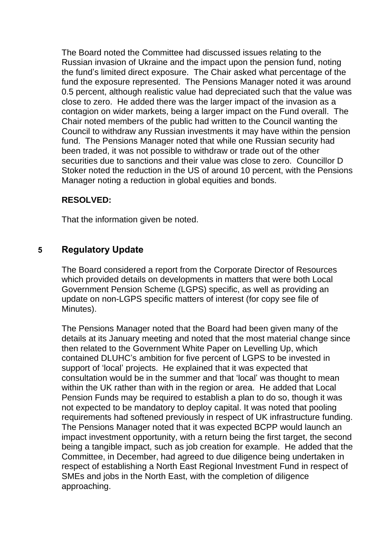The Board noted the Committee had discussed issues relating to the Russian invasion of Ukraine and the impact upon the pension fund, noting the fund's limited direct exposure. The Chair asked what percentage of the fund the exposure represented. The Pensions Manager noted it was around 0.5 percent, although realistic value had depreciated such that the value was close to zero. He added there was the larger impact of the invasion as a contagion on wider markets, being a larger impact on the Fund overall. The Chair noted members of the public had written to the Council wanting the Council to withdraw any Russian investments it may have within the pension fund. The Pensions Manager noted that while one Russian security had been traded, it was not possible to withdraw or trade out of the other securities due to sanctions and their value was close to zero. Councillor D Stoker noted the reduction in the US of around 10 percent, with the Pensions Manager noting a reduction in global equities and bonds.

### **RESOLVED:**

That the information given be noted.

# **5 Regulatory Update**

The Board considered a report from the Corporate Director of Resources which provided details on developments in matters that were both Local Government Pension Scheme (LGPS) specific, as well as providing an update on non-LGPS specific matters of interest (for copy see file of Minutes).

The Pensions Manager noted that the Board had been given many of the details at its January meeting and noted that the most material change since then related to the Government White Paper on Levelling Up, which contained DLUHC's ambition for five percent of LGPS to be invested in support of 'local' projects. He explained that it was expected that consultation would be in the summer and that 'local' was thought to mean within the UK rather than with in the region or area. He added that Local Pension Funds may be required to establish a plan to do so, though it was not expected to be mandatory to deploy capital. It was noted that pooling requirements had softened previously in respect of UK infrastructure funding. The Pensions Manager noted that it was expected BCPP would launch an impact investment opportunity, with a return being the first target, the second being a tangible impact, such as job creation for example. He added that the Committee, in December, had agreed to due diligence being undertaken in respect of establishing a North East Regional Investment Fund in respect of SMEs and jobs in the North East, with the completion of diligence approaching.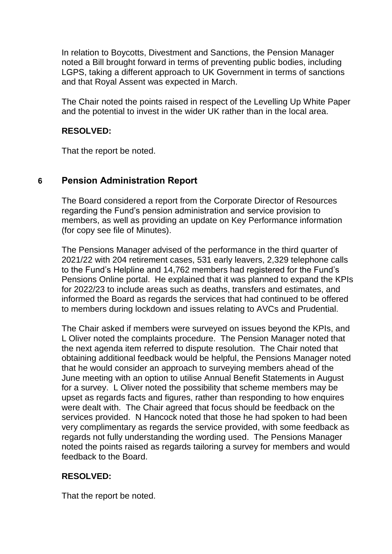In relation to Boycotts, Divestment and Sanctions, the Pension Manager noted a Bill brought forward in terms of preventing public bodies, including LGPS, taking a different approach to UK Government in terms of sanctions and that Royal Assent was expected in March.

The Chair noted the points raised in respect of the Levelling Up White Paper and the potential to invest in the wider UK rather than in the local area.

### **RESOLVED:**

That the report be noted.

## **6 Pension Administration Report**

The Board considered a report from the Corporate Director of Resources regarding the Fund's pension administration and service provision to members, as well as providing an update on Key Performance information (for copy see file of Minutes).

The Pensions Manager advised of the performance in the third quarter of 2021/22 with 204 retirement cases, 531 early leavers, 2,329 telephone calls to the Fund's Helpline and 14,762 members had registered for the Fund's Pensions Online portal. He explained that it was planned to expand the KPIs for 2022/23 to include areas such as deaths, transfers and estimates, and informed the Board as regards the services that had continued to be offered to members during lockdown and issues relating to AVCs and Prudential.

The Chair asked if members were surveyed on issues beyond the KPIs, and L Oliver noted the complaints procedure. The Pension Manager noted that the next agenda item referred to dispute resolution. The Chair noted that obtaining additional feedback would be helpful, the Pensions Manager noted that he would consider an approach to surveying members ahead of the June meeting with an option to utilise Annual Benefit Statements in August for a survey. L Oliver noted the possibility that scheme members may be upset as regards facts and figures, rather than responding to how enquires were dealt with. The Chair agreed that focus should be feedback on the services provided. N Hancock noted that those he had spoken to had been very complimentary as regards the service provided, with some feedback as regards not fully understanding the wording used. The Pensions Manager noted the points raised as regards tailoring a survey for members and would feedback to the Board.

### **RESOLVED:**

That the report be noted.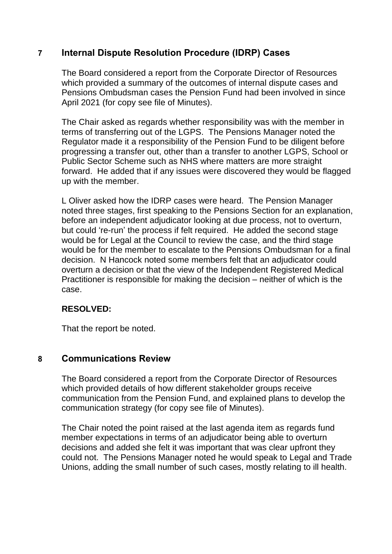## **7 Internal Dispute Resolution Procedure (IDRP) Cases**

The Board considered a report from the Corporate Director of Resources which provided a summary of the outcomes of internal dispute cases and Pensions Ombudsman cases the Pension Fund had been involved in since April 2021 (for copy see file of Minutes).

The Chair asked as regards whether responsibility was with the member in terms of transferring out of the LGPS. The Pensions Manager noted the Regulator made it a responsibility of the Pension Fund to be diligent before progressing a transfer out, other than a transfer to another LGPS, School or Public Sector Scheme such as NHS where matters are more straight forward. He added that if any issues were discovered they would be flagged up with the member.

L Oliver asked how the IDRP cases were heard. The Pension Manager noted three stages, first speaking to the Pensions Section for an explanation, before an independent adjudicator looking at due process, not to overturn, but could 're-run' the process if felt required. He added the second stage would be for Legal at the Council to review the case, and the third stage would be for the member to escalate to the Pensions Ombudsman for a final decision. N Hancock noted some members felt that an adjudicator could overturn a decision or that the view of the Independent Registered Medical Practitioner is responsible for making the decision – neither of which is the case.

## **RESOLVED:**

That the report be noted.

## **8 Communications Review**

The Board considered a report from the Corporate Director of Resources which provided details of how different stakeholder groups receive communication from the Pension Fund, and explained plans to develop the communication strategy (for copy see file of Minutes).

The Chair noted the point raised at the last agenda item as regards fund member expectations in terms of an adjudicator being able to overturn decisions and added she felt it was important that was clear upfront they could not. The Pensions Manager noted he would speak to Legal and Trade Unions, adding the small number of such cases, mostly relating to ill health.